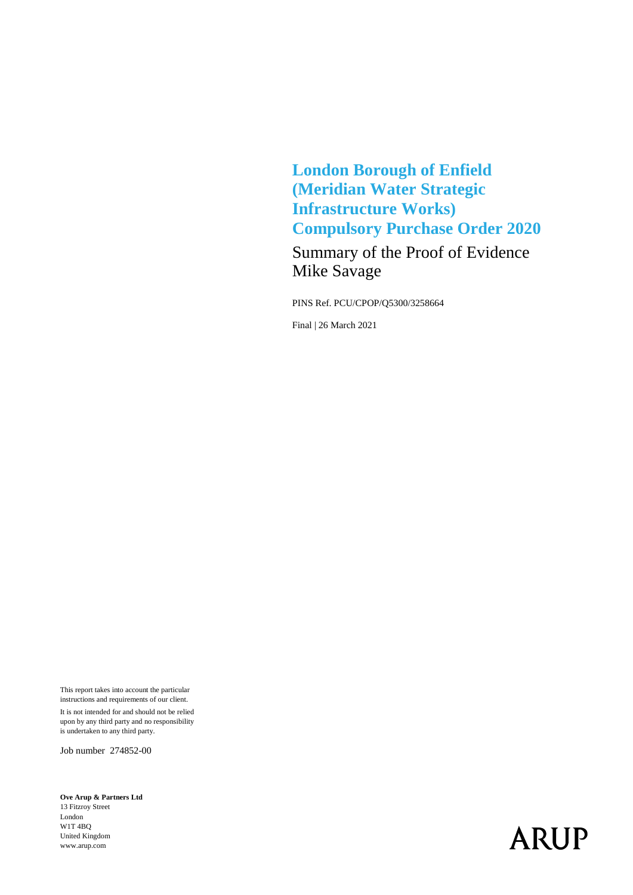**London Borough of Enfield (Meridian Water Strategic Infrastructure Works) Compulsory Purchase Order 2020**

Summary of the Proof of Evidence Mike Savage

PINS Ref. PCU/CPOP/Q5300/3258664

Final | 26 March 2021

This report takes into account the particular instructions and requirements of our client. It is not intended for and should not be relied upon by any third party and no responsibility is undertaken to any third party.

Job number 274852-00

**Ove Arup & Partners Ltd** 13 Fitzroy Street London W1T 4BQ United Kingdom www.arup.com

# **ARUP**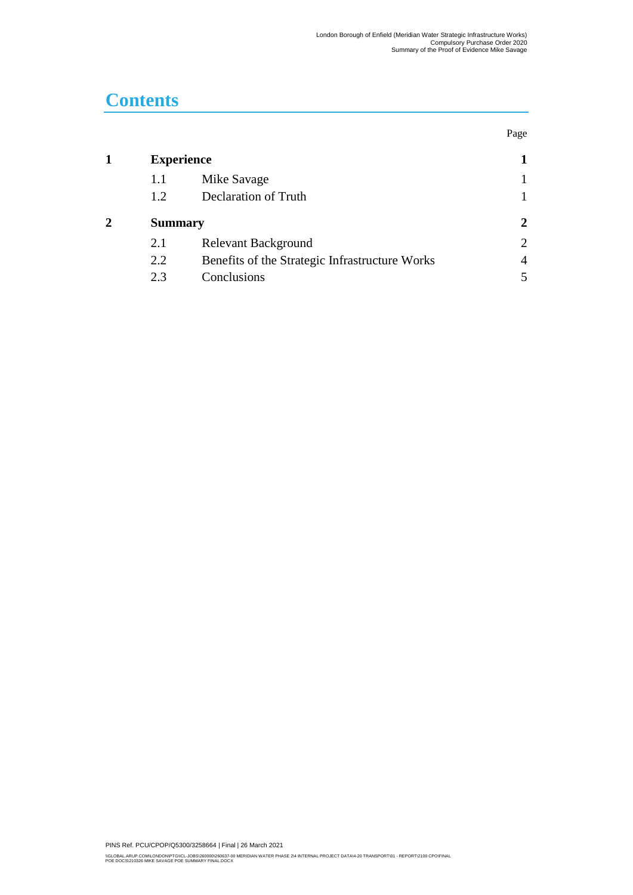Page

## **Contents**

| <b>Experience</b> |                                                |                |
|-------------------|------------------------------------------------|----------------|
| 1.1               | Mike Savage                                    |                |
| 1.2               | Declaration of Truth                           |                |
| <b>Summary</b>    |                                                | 2              |
| 2.1               | <b>Relevant Background</b>                     | $\overline{2}$ |
| 2.2               | Benefits of the Strategic Infrastructure Works | $\overline{4}$ |
| 2.3               | Conclusions                                    |                |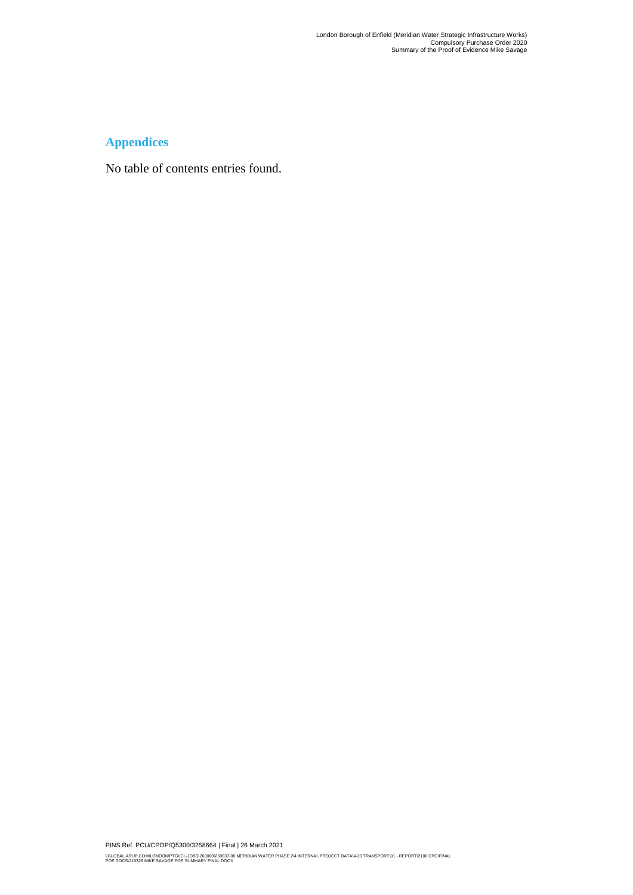#### **Appendices**

No table of contents entries found.

PINS Ref. PCU/CPOP/Q5300/3258664 | Final | 26 March 2021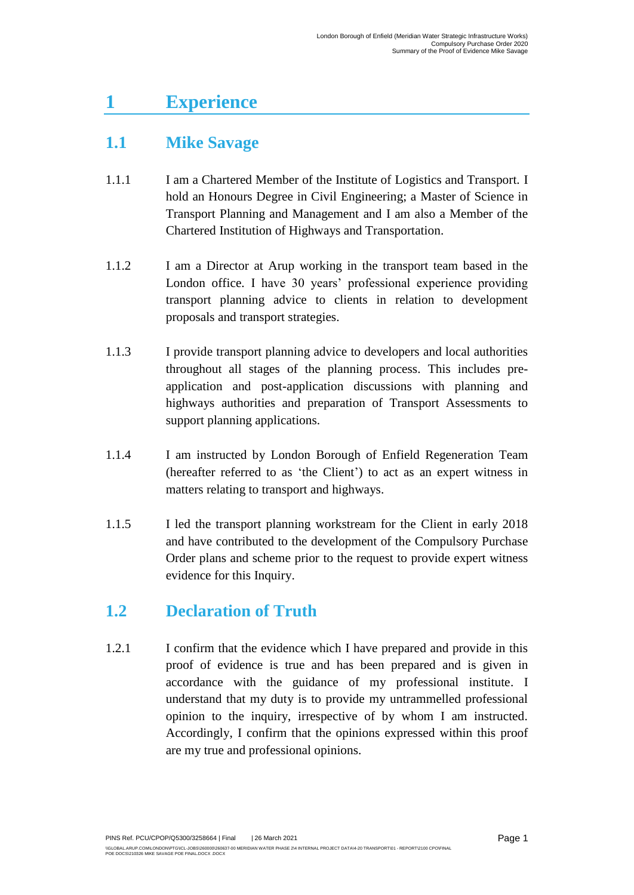## <span id="page-3-0"></span>**1 Experience**

### <span id="page-3-1"></span>**1.1 Mike Savage**

- 1.1.1 I am a Chartered Member of the Institute of Logistics and Transport. I hold an Honours Degree in Civil Engineering; a Master of Science in Transport Planning and Management and I am also a Member of the Chartered Institution of Highways and Transportation.
- 1.1.2 I am a Director at Arup working in the transport team based in the London office. I have 30 years' professional experience providing transport planning advice to clients in relation to development proposals and transport strategies.
- 1.1.3 I provide transport planning advice to developers and local authorities throughout all stages of the planning process. This includes preapplication and post-application discussions with planning and highways authorities and preparation of Transport Assessments to support planning applications.
- 1.1.4 I am instructed by London Borough of Enfield Regeneration Team (hereafter referred to as 'the Client') to act as an expert witness in matters relating to transport and highways.
- 1.1.5 I led the transport planning workstream for the Client in early 2018 and have contributed to the development of the Compulsory Purchase Order plans and scheme prior to the request to provide expert witness evidence for this Inquiry.

#### <span id="page-3-2"></span>**1.2 Declaration of Truth**

1.2.1 I confirm that the evidence which I have prepared and provide in this proof of evidence is true and has been prepared and is given in accordance with the guidance of my professional institute. I understand that my duty is to provide my untrammelled professional opinion to the inquiry, irrespective of by whom I am instructed. Accordingly, I confirm that the opinions expressed within this proof are my true and professional opinions.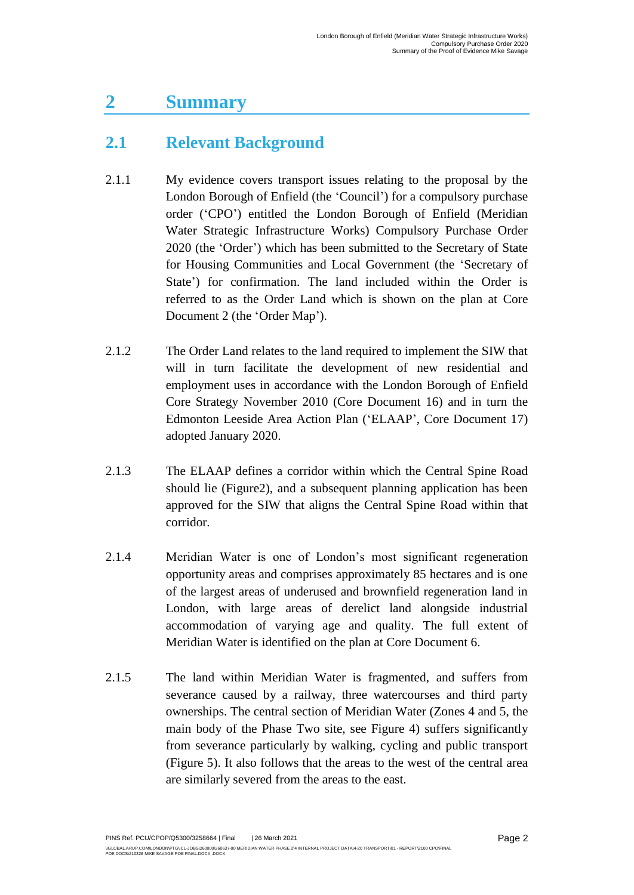## <span id="page-4-0"></span>**2 Summary**

#### <span id="page-4-1"></span>**2.1 Relevant Background**

- 2.1.1 My evidence covers transport issues relating to the proposal by the London Borough of Enfield (the 'Council') for a compulsory purchase order ('CPO') entitled the London Borough of Enfield (Meridian Water Strategic Infrastructure Works) Compulsory Purchase Order 2020 (the 'Order') which has been submitted to the Secretary of State for Housing Communities and Local Government (the 'Secretary of State') for confirmation. The land included within the Order is referred to as the Order Land which is shown on the plan at Core Document 2 (the 'Order Map').
- 2.1.2 The Order Land relates to the land required to implement the SIW that will in turn facilitate the development of new residential and employment uses in accordance with the London Borough of Enfield Core Strategy November 2010 (Core Document 16) and in turn the Edmonton Leeside Area Action Plan ('ELAAP', Core Document 17) adopted January 2020.
- 2.1.3 The ELAAP defines a corridor within which the Central Spine Road should lie (Figure2), and a subsequent planning application has been approved for the SIW that aligns the Central Spine Road within that corridor.
- 2.1.4 Meridian Water is one of London's most significant regeneration opportunity areas and comprises approximately 85 hectares and is one of the largest areas of underused and brownfield regeneration land in London, with large areas of derelict land alongside industrial accommodation of varying age and quality. The full extent of Meridian Water is identified on the plan at Core Document 6.
- 2.1.5 The land within Meridian Water is fragmented, and suffers from severance caused by a railway, three watercourses and third party ownerships. The central section of Meridian Water (Zones 4 and 5, the main body of the Phase Two site, see Figure 4) suffers significantly from severance particularly by walking, cycling and public transport (Figure 5). It also follows that the areas to the west of the central area are similarly severed from the areas to the east.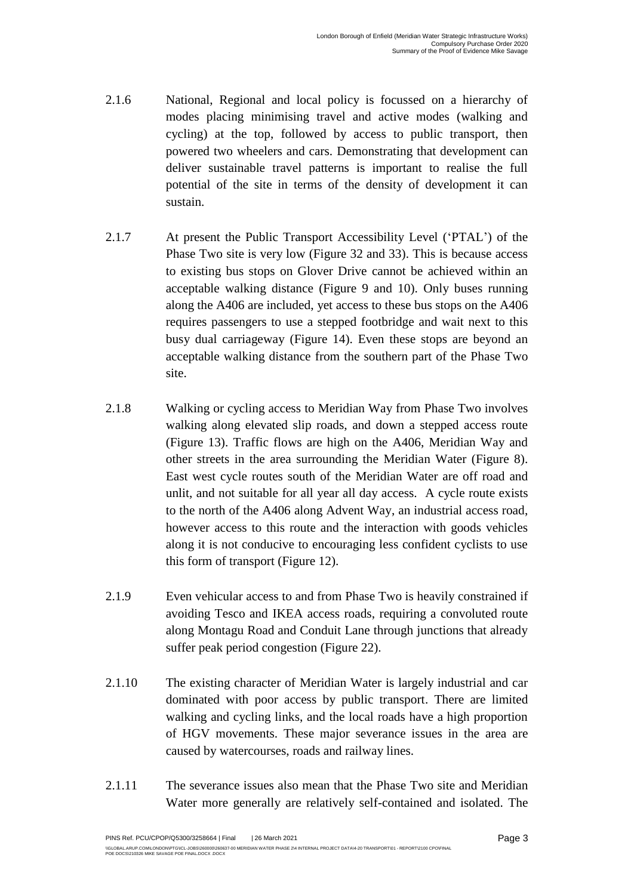- 2.1.6 National, Regional and local policy is focussed on a hierarchy of modes placing minimising travel and active modes (walking and cycling) at the top, followed by access to public transport, then powered two wheelers and cars. Demonstrating that development can deliver sustainable travel patterns is important to realise the full potential of the site in terms of the density of development it can sustain.
- 2.1.7 At present the Public Transport Accessibility Level ('PTAL') of the Phase Two site is very low (Figure 32 and 33). This is because access to existing bus stops on Glover Drive cannot be achieved within an acceptable walking distance (Figure 9 and 10). Only buses running along the A406 are included, yet access to these bus stops on the A406 requires passengers to use a stepped footbridge and wait next to this busy dual carriageway (Figure 14). Even these stops are beyond an acceptable walking distance from the southern part of the Phase Two site.
- 2.1.8 Walking or cycling access to Meridian Way from Phase Two involves walking along elevated slip roads, and down a stepped access route (Figure 13). Traffic flows are high on the A406, Meridian Way and other streets in the area surrounding the Meridian Water (Figure 8). East west cycle routes south of the Meridian Water are off road and unlit, and not suitable for all year all day access. A cycle route exists to the north of the A406 along Advent Way, an industrial access road, however access to this route and the interaction with goods vehicles along it is not conducive to encouraging less confident cyclists to use this form of transport (Figure 12).
- 2.1.9 Even vehicular access to and from Phase Two is heavily constrained if avoiding Tesco and IKEA access roads, requiring a convoluted route along Montagu Road and Conduit Lane through junctions that already suffer peak period congestion (Figure 22).
- 2.1.10 The existing character of Meridian Water is largely industrial and car dominated with poor access by public transport. There are limited walking and cycling links, and the local roads have a high proportion of HGV movements. These major severance issues in the area are caused by watercourses, roads and railway lines.
- 2.1.11 The severance issues also mean that the Phase Two site and Meridian Water more generally are relatively self-contained and isolated. The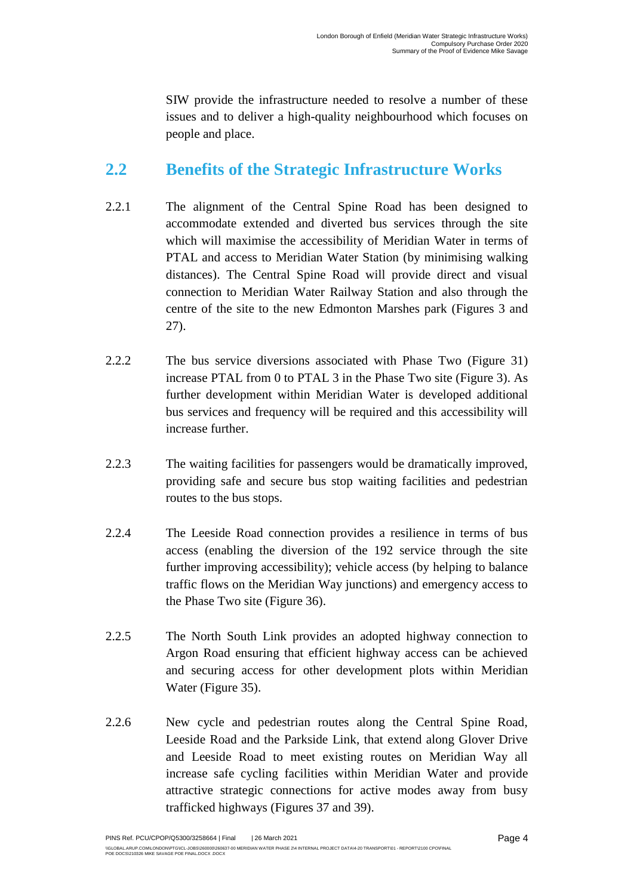SIW provide the infrastructure needed to resolve a number of these issues and to deliver a high-quality neighbourhood which focuses on people and place.

#### <span id="page-6-0"></span>**2.2 Benefits of the Strategic Infrastructure Works**

- 2.2.1 The alignment of the Central Spine Road has been designed to accommodate extended and diverted bus services through the site which will maximise the accessibility of Meridian Water in terms of PTAL and access to Meridian Water Station (by minimising walking distances). The Central Spine Road will provide direct and visual connection to Meridian Water Railway Station and also through the centre of the site to the new Edmonton Marshes park (Figures 3 and 27).
- 2.2.2 The bus service diversions associated with Phase Two (Figure 31) increase PTAL from 0 to PTAL 3 in the Phase Two site (Figure 3). As further development within Meridian Water is developed additional bus services and frequency will be required and this accessibility will increase further.
- 2.2.3 The waiting facilities for passengers would be dramatically improved, providing safe and secure bus stop waiting facilities and pedestrian routes to the bus stops.
- 2.2.4 The Leeside Road connection provides a resilience in terms of bus access (enabling the diversion of the 192 service through the site further improving accessibility); vehicle access (by helping to balance traffic flows on the Meridian Way junctions) and emergency access to the Phase Two site (Figure 36).
- 2.2.5 The North South Link provides an adopted highway connection to Argon Road ensuring that efficient highway access can be achieved and securing access for other development plots within Meridian Water (Figure 35).
- 2.2.6 New cycle and pedestrian routes along the Central Spine Road, Leeside Road and the Parkside Link, that extend along Glover Drive and Leeside Road to meet existing routes on Meridian Way all increase safe cycling facilities within Meridian Water and provide attractive strategic connections for active modes away from busy trafficked highways (Figures 37 and 39).